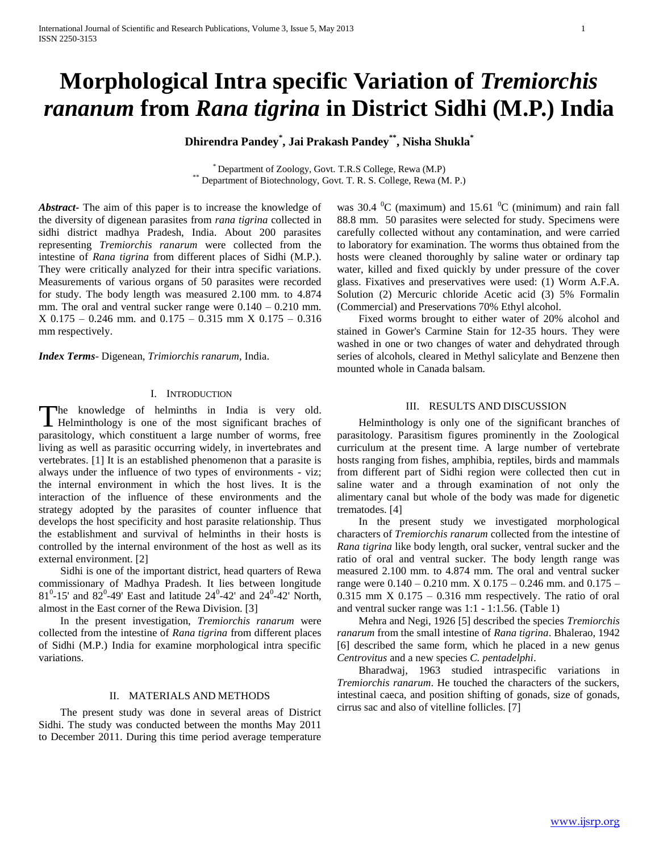# **Morphological Intra specific Variation of** *Tremiorchis rananum* **from** *Rana tigrina* **in District Sidhi (M.P.) India**

**Dhirendra Pandey\* , Jai Prakash Pandey\*\* , Nisha Shukla\***

\* Department of Zoology, Govt. T.R.S College, Rewa (M.P) \*\* Department of Biotechnology, Govt. T. R. S. College, Rewa (M. P.)

*Abstract***-** The aim of this paper is to increase the knowledge of the diversity of digenean parasites from *rana tigrina* collected in sidhi district madhya Pradesh, India. About 200 parasites representing *Tremiorchis ranarum* were collected from the intestine of *Rana tigrina* from different places of Sidhi (M.P.). They were critically analyzed for their intra specific variations. Measurements of various organs of 50 parasites were recorded for study. The body length was measured 2.100 mm. to 4.874 mm. The oral and ventral sucker range were  $0.140 - 0.210$  mm. X 0.175 – 0.246 mm. and 0.175 – 0.315 mm X 0.175 – 0.316 mm respectively.

*Index Terms*- Digenean, *Trimiorchis ranarum*, India.

### I. INTRODUCTION

he knowledge of helminths in India is very old. The knowledge of helminths in India is very old.<br>Helminthology is one of the most significant braches of parasitology, which constituent a large number of worms, free living as well as parasitic occurring widely, in invertebrates and vertebrates. [1] It is an established phenomenon that a parasite is always under the influence of two types of environments - viz; the internal environment in which the host lives. It is the interaction of the influence of these environments and the strategy adopted by the parasites of counter influence that develops the host specificity and host parasite relationship. Thus the establishment and survival of helminths in their hosts is controlled by the internal environment of the host as well as its external environment. [2]

 Sidhi is one of the important district, head quarters of Rewa commissionary of Madhya Pradesh. It lies between longitude  $81^0$ -15' and  $82^0$ -49' East and latitude  $24^0$ -42' and  $24^0$ -42' North, almost in the East corner of the Rewa Division. [3]

 In the present investigation, *Tremiorchis ranarum* were collected from the intestine of *Rana tigrina* from different places of Sidhi (M.P.) India for examine morphological intra specific variations.

## II. MATERIALS AND METHODS

 The present study was done in several areas of District Sidhi. The study was conducted between the months May 2011 to December 2011. During this time period average temperature was 30.4  $\mathrm{^{0}C}$  (maximum) and 15.61  $\mathrm{^{0}C}$  (minimum) and rain fall 88.8 mm. 50 parasites were selected for study. Specimens were carefully collected without any contamination, and were carried to laboratory for examination. The worms thus obtained from the hosts were cleaned thoroughly by saline water or ordinary tap water, killed and fixed quickly by under pressure of the cover glass. Fixatives and preservatives were used: (1) Worm A.F.A. Solution (2) Mercuric chloride Acetic acid (3) 5% Formalin (Commercial) and Preservations 70% Ethyl alcohol.

 Fixed worms brought to either water of 20% alcohol and stained in Gower's Carmine Stain for 12-35 hours. They were washed in one or two changes of water and dehydrated through series of alcohols, cleared in Methyl salicylate and Benzene then mounted whole in Canada balsam.

### III. RESULTS AND DISCUSSION

 Helminthology is only one of the significant branches of parasitology. Parasitism figures prominently in the Zoological curriculum at the present time. A large number of vertebrate hosts ranging from fishes, amphibia, reptiles, birds and mammals from different part of Sidhi region were collected then cut in saline water and a through examination of not only the alimentary canal but whole of the body was made for digenetic trematodes. [4]

 In the present study we investigated morphological characters of *Tremiorchis ranarum* collected from the intestine of *Rana tigrina* like body length, oral sucker, ventral sucker and the ratio of oral and ventral sucker. The body length range was measured 2.100 mm. to 4.874 mm. The oral and ventral sucker range were 0.140 – 0.210 mm. X 0.175 – 0.246 mm. and 0.175 –  $0.315$  mm X  $0.175 - 0.316$  mm respectively. The ratio of oral and ventral sucker range was 1:1 - 1:1.56. (Table 1)

 Mehra and Negi, 1926 [5] described the species *Tremiorchis ranarum* from the small intestine of *Rana tigrina*. Bhalerao, 1942 [6] described the same form, which he placed in a new genus *Centrovitus* and a new species *C. pentadelphi*.

 Bharadwaj, 1963 studied intraspecific variations in *Tremiorchis ranarum*. He touched the characters of the suckers, intestinal caeca, and position shifting of gonads, size of gonads, cirrus sac and also of vitelline follicles. [7]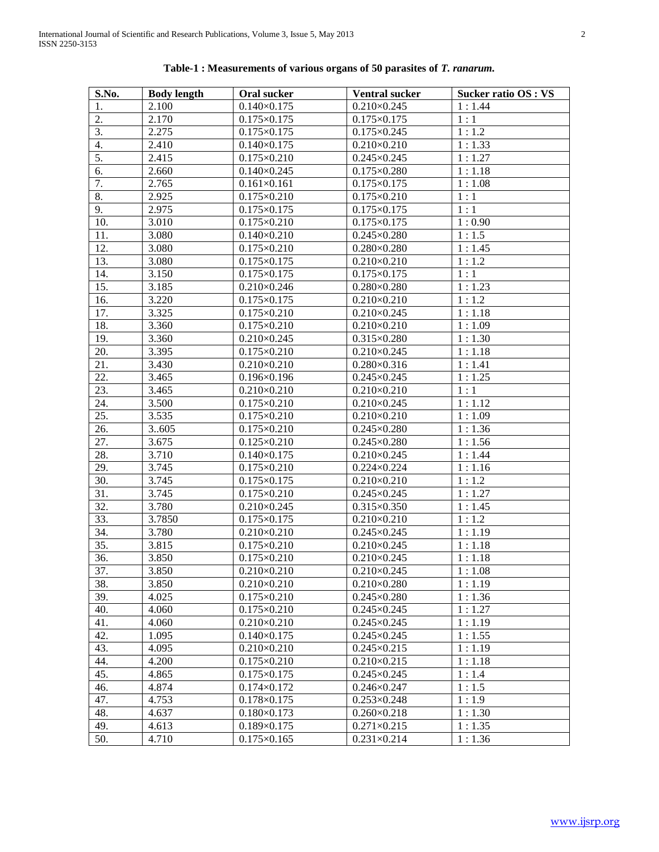| S.No. | <b>Body length</b> | Oral sucker                       | <b>Ventral sucker</b> | <b>Sucker ratio OS : VS</b> |
|-------|--------------------|-----------------------------------|-----------------------|-----------------------------|
| 1.    | 2.100              | $0.140 \times 0.175$              | $0.210\times0.245$    | 1:1.44                      |
| 2.    | 2.170              | $0.175 \times 0.175$              | $0.175 \times 0.175$  | 1:1                         |
| 3.    | 2.275              | $0.175 \times 0.175$              | $0.175 \times 0.245$  | 1:1.2                       |
| 4.    | 2.410              | $0.140 \times 0.175$              | $0.210 \times 0.210$  | 1:1.33                      |
| 5.    | 2.415              | $0.175 \times 0.210$              | $0.245 \times 0.245$  | 1:1.27                      |
| 6.    | 2.660              | $0.140 \times 0.245$              | $0.175 \times 0.280$  | 1:1.18                      |
| 7.    | 2.765              | $0.161 \times 0.161$              | $0.175 \times 0.175$  | 1:1.08                      |
| 8.    | 2.925              | $0.175 \times 0.210$              | $0.175 \times 0.210$  | 1:1                         |
| 9.    | 2.975              | $0.175 \times 0.175$              | $0.175 \times 0.175$  | 1:1                         |
| 10.   | 3.010              | $0.175 \times 0.210$              | $0.175 \times 0.175$  | 1:0.90                      |
| 11.   | 3.080              | $0.140 \times 0.210$              | $0.245 \times 0.280$  | 1:1.5                       |
| 12.   | 3.080              | $0.175 \times 0.210$              | $0.280 \times 0.280$  | 1:1.45                      |
| 13.   | 3.080              | $0.175 \times 0.175$              | $0.210 \times 0.210$  | 1:1.2                       |
| 14.   | 3.150              | $0.175 \times 0.175$              | $0.175 \times 0.175$  | 1:1                         |
| 15.   | 3.185              | $0.210\times0.246$                | $0.280 \times 0.280$  | 1:1.23                      |
| 16.   | 3.220              | $0.175 \times 0.175$              | $0.210 \times 0.210$  | 1:1.2                       |
| 17.   | 3.325              | $0.175 \times 0.210$              | $0.210\times0.245$    | 1:1.18                      |
| 18.   | 3.360              | $0.175 \times 0.210$              | $0.210 \times 0.210$  | 1:1.09                      |
| 19.   | 3.360              | $0.210 \times 0.245$              | $0.315 \times 0.280$  | 1:1.30                      |
| 20.   | 3.395              | $0.175 \times 0.210$              | $0.210 \times 0.245$  | 1:1.18                      |
| 21.   | 3.430              | $0.210 \times 0.210$              | $0.280 \times 0.316$  | 1:1.41                      |
| 22.   | 3.465              | $0.196 \times 0.196$              | $0.245 \times 0.245$  | 1:1.25                      |
| 23.   | 3.465              | $0.210 \times 0.210$              | $0.210 \times 0.210$  | 1:1                         |
| 24.   | 3.500              | $0.175 \times 0.210$              | $0.210 \times 0.245$  | 1:1.12                      |
| 25.   | 3.535              | $0.175 \times 0.210$              | $0.210 \times 0.210$  | 1:1.09                      |
| 26.   | 3605               | $0.175 \times 0.210$              | $0.245 \times 0.280$  | 1:1.36                      |
| 27.   | 3.675              | $0.125 \times 0.210$              | $0.245 \times 0.280$  | 1:1.56                      |
| 28.   | 3.710              | $0.140 \times 0.175$              | $0.210\times0.245$    | 1:1.44                      |
| 29.   | 3.745              | $0.175 \times 0.210$              | $0.224 \times 0.224$  | 1:1.16                      |
| 30.   | 3.745              | $0.175 \times 0.175$              | $0.210 \times 0.210$  | 1:1.2                       |
| 31.   | 3.745              | $0.175 \times 0.210$              | $0.245 \times 0.245$  | 1:1.27                      |
| 32.   | 3.780              | $0.210 \times 0.245$              | $0.315 \times 0.350$  | 1:1.45                      |
| 33.   | 3.7850             | $0.175 \times 0.175$              | $0.210 \times 0.210$  | 1:1.2                       |
| 34.   | 3.780              | $0.210 \times 0.210$              | $0.245 \times 0.245$  | 1:1.19                      |
| 35.   | 3.815              | $0.175 \times 0.210$              | $0.210\times0.245$    | 1:1.18                      |
| 36.   | 3.850              | $0.175 \times 0.210$              | $0.210\times0.245$    | 1:1.18                      |
| 37.   | 3.850              | $0.210\times0.210$                | $0.210\times0.245$    | 1:1.08                      |
| 38.   | 3.850              | $0.210 \times 0.210$              | $0.210\times0.280$    | 1:1.19                      |
| 39.   | 4.025              | $0.175 \times 0.210$              | $0.245 \times 0.280$  | 1:1.36                      |
| 40.   | 4.060              | $0.175 \times 0.210$              | $0.245 \times 0.245$  | 1:1.27                      |
| 41.   | 4.060              | $0.210 \times 0.210$              | $0.245 \times 0.245$  | 1:1.19                      |
| 42.   | 1.095              | $0.140 \times 0.175$              | $0.245 \times 0.245$  | 1:1.55                      |
| 43.   | 4.095              | $0.210 \times 0.210$              | $0.245 \times 0.215$  | 1:1.19                      |
| 44.   | 4.200              | $0.175 \times 0.210$              | $0.210 \times 0.215$  | 1:1.18                      |
| 45.   | 4.865              | $0.175 \times 0.175$              | $0.245 \times 0.245$  | 1:1.4                       |
| 46.   | 4.874              | $0.174 \times 0.172$              | $0.246 \times 0.247$  | 1:1.5                       |
| 47.   | 4.753              | $0.178 \times 0.175$              | $0.253 \times 0.248$  | 1:1.9                       |
| 48.   | 4.637              | $0.180 \times 0.173$              | $0.260 \times 0.218$  | 1:1.30                      |
| 49.   | 4.613              | $0.189 \times 0.175$              | $0.271 \times 0.215$  | 1:1.35                      |
| 50.   | 4.710              | $\overline{0.175}$ $\times$ 0.165 | $0.231 \times 0.214$  | 1:1.36                      |

# **Table-1 : Measurements of various organs of 50 parasites of** *T. ranarum.*